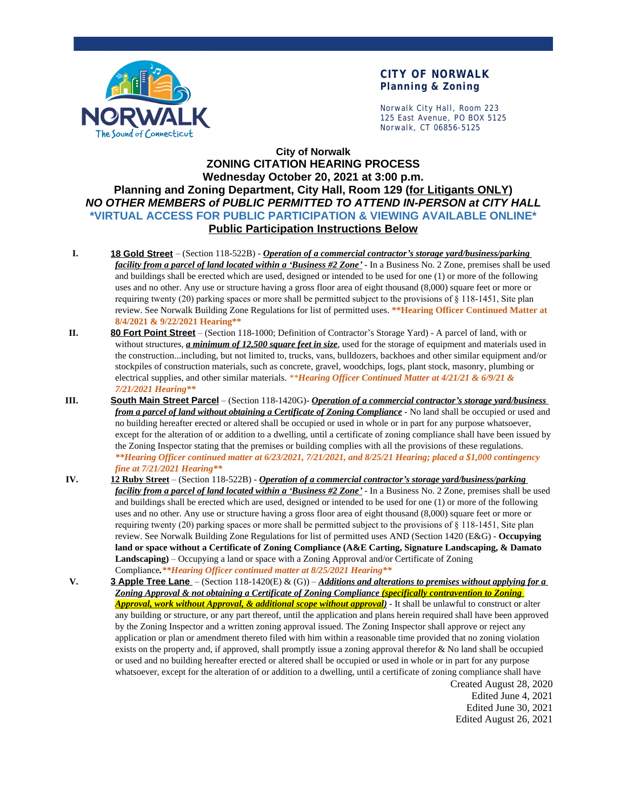

#### **CITY OF NORWALK Planning & Zoning**

Norwalk City Hall, Room 223 125 East Avenue, PO BOX 5125 Norwalk, CT 06856-5125

### **City of Norwalk ZONING CITATION HEARING PROCESS Wednesday October 20, 2021 at 3:00 p.m. Planning and Zoning Department, City Hall, Room 129 (for Litigants ONLY)** *NO OTHER MEMBERS of PUBLIC PERMITTED TO ATTEND IN-PERSON at CITY HALL* **\*VIRTUAL ACCESS FOR PUBLIC PARTICIPATION & VIEWING AVAILABLE ONLINE\* Public Participation Instructions Below**

- **I. 18 Gold Street** (Section 118-522B) *Operation of a commercial contractor's storage yard/business/parking facility from a parcel of land located within a 'Business #2 Zone'* - In a Business No. 2 Zone, premises shall be used and buildings shall be erected which are used, designed or intended to be used for one (1) or more of the following uses and no other. Any use or structure having a gross floor area of eight thousand (8,000) square feet or more or requiring twenty (20) parking spaces or more shall be permitted subject to the provisions of § 118-1451, Site plan review. See Norwalk Building Zone Regulations for list of permitted uses. **\*\*Hearing Officer Continued Matter at 8/4/2021 & 9/22/2021 Hearing\*\***
- **II. 80 Fort Point Street** (Section 118-1000; Definition of Contractor's Storage Yard) A parcel of land, with or without structures, *a minimum of 12,500 square feet in size*, used for the storage of equipment and materials used in the construction...including, but not limited to, trucks, vans, bulldozers, backhoes and other similar equipment and/or stockpiles of construction materials, such as concrete, gravel, woodchips, logs, plant stock, masonry, plumbing or electrical supplies, and other similar materials. *\*\*Hearing Officer Continued Matter at 4/21/21 & 6/9/21 & 7/21/2021 Hearing\*\**
- **III. South Main Street Parcel** (Section 118-1420G)- *Operation of a commercial contractor's storage yard/business from a parcel of land without obtaining a Certificate of Zoning Compliance* - No land shall be occupied or used and no building hereafter erected or altered shall be occupied or used in whole or in part for any purpose whatsoever, except for the alteration of or addition to a dwelling, until a certificate of zoning compliance shall have been issued by the Zoning Inspector stating that the premises or building complies with all the provisions of these regulations. *\*\*Hearing Officer continued matter at 6/23/2021, 7/21/2021, and 8/25/21 Hearing; placed a \$1,000 contingency fine at 7/21/2021 Hearing\*\**
- **IV. 12 Ruby Street** (Section 118-522B) *Operation of a commercial contractor's storage yard/business/parking facility from a parcel of land located within a 'Business #2 Zone'* - In a Business No. 2 Zone, premises shall be used and buildings shall be erected which are used, designed or intended to be used for one (1) or more of the following uses and no other. Any use or structure having a gross floor area of eight thousand (8,000) square feet or more or requiring twenty (20) parking spaces or more shall be permitted subject to the provisions of § 118-1451, Site plan review. See Norwalk Building Zone Regulations for list of permitted uses AND (Section 1420 (E&G) - **Occupying land or space without a Certificate of Zoning Compliance (A&E Carting, Signature Landscaping, & Damato Landscaping)** – Occupying a land or space with a Zoning Approval and/or Certificate of Zoning Compliance*.\*\*Hearing Officer continued matter at 8/25/2021 Hearing\*\**
- Created August 28, 2020 **V. 3 Apple Tree Lane** – (Section 118-1420(E) & (G)) – *Additions and alterations to premises without applying for a Zoning Approval & not obtaining a Certificate of Zoning Compliance (specifically contravention to Zoning Approval, work without Approval, & additional scope without approval)* - It shall be unlawful to construct or alter any building or structure, or any part thereof, until the application and plans herein required shall have been approved by the Zoning Inspector and a written zoning approval issued. The Zoning Inspector shall approve or reject any application or plan or amendment thereto filed with him within a reasonable time provided that no zoning violation exists on the property and, if approved, shall promptly issue a zoning approval therefor  $\&$  No land shall be occupied or used and no building hereafter erected or altered shall be occupied or used in whole or in part for any purpose whatsoever, except for the alteration of or addition to a dwelling, until a certificate of zoning compliance shall have

Edited June 4, 2021 Edited June 30, 2021 Edited August 26, 2021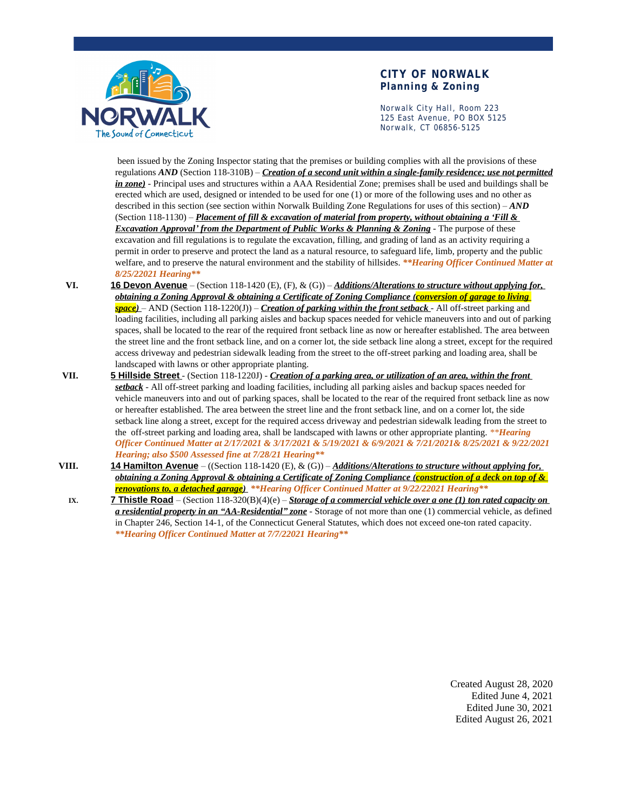

#### **CITY OF NORWALK Planning & Zoning**

Norwalk City Hall, Room 223 125 East Avenue, PO BOX 5125 Norwalk, CT 06856-5125

 been issued by the Zoning Inspector stating that the premises or building complies with all the provisions of these regulations *AND* (Section 118-310B) – *Creation of a second unit within a single-family residence; use not permitted in zone)* - Principal uses and structures within a AAA Residential Zone; premises shall be used and buildings shall be erected which are used, designed or intended to be used for one (1) or more of the following uses and no other as described in this section (see section within Norwalk Building Zone Regulations for uses of this section) – *AND* (Section 118-1130) – *Placement of fill & excavation of material from property, without obtaining a 'Fill & Excavation Approval' from the Department of Public Works & Planning & Zoning* - The purpose of these excavation and fill regulations is to regulate the excavation, filling, and grading of land as an activity requiring a permit in order to preserve and protect the land as a natural resource, to safeguard life, limb, property and the public welfare, and to preserve the natural environment and the stability of hillsides. *\*\*Hearing Officer Continued Matter at 8/25/22021 Hearing\*\**

- **VI. 16 Devon Avenue** (Section 118-1420 (E), (F), & (G)) *Additions/Alterations to structure without applying for, obtaining a Zoning Approval & obtaining a Certificate of Zoning Compliance (conversion of garage to living space)* – AND (Section 118-1220(J)) – *Creation of parking within the front setback* - All off-street parking and loading facilities, including all parking aisles and backup spaces needed for vehicle maneuvers into and out of parking spaces, shall be located to the rear of the required front setback line as now or hereafter established. The area between the street line and the front setback line, and on a corner lot, the side setback line along a street, except for the required access driveway and pedestrian sidewalk leading from the street to the off-street parking and loading area, shall be landscaped with lawns or other appropriate planting.
- **VII. 5 Hillside Street** (Section 118-1220J) *Creation of a parking area, or utilization of an area, within the front setback* - All off-street parking and loading facilities, including all parking aisles and backup spaces needed for vehicle maneuvers into and out of parking spaces, shall be located to the rear of the required front setback line as now or hereafter established. The area between the street line and the front setback line, and on a corner lot, the side setback line along a street, except for the required access driveway and pedestrian sidewalk leading from the street to the off-street parking and loading area, shall be landscaped with lawns or other appropriate planting. *\*\*Hearing Officer Continued Matter at 2/17/2021 & 3/17/2021 & 5/19/2021 & 6/9/2021 & 7/21/2021& 8/25/2021 & 9/22/2021 Hearing; also \$500 Assessed fine at 7/28/21 Hearing\*\**
- **VIII. 14 Hamilton Avenue** ((Section 118-1420 (E), & (G)) *Additions/Alterations to structure without applying for, obtaining a Zoning Approval & obtaining a Certificate of Zoning Compliance (construction of a deck on top of & renovations to, a detached garage) \*\*Hearing Officer Continued Matter at 9/22/22021 Hearing\*\**
	- **IX. 7 Thistle Road** (Section 118-320(B)(4)(e) *Storage of a commercial vehicle over a one (1) ton rated capacity on a residential property in an "AA-Residential" zone* - Storage of not more than one (1) commercial vehicle, as defined in Chapter 246, Section 14-1, of the Connecticut General Statutes, which does not exceed one-ton rated capacity. *\*\*Hearing Officer Continued Matter at 7/7/22021 Hearing\*\**

Created August 28, 2020 Edited June 4, 2021 Edited June 30, 2021 Edited August 26, 2021